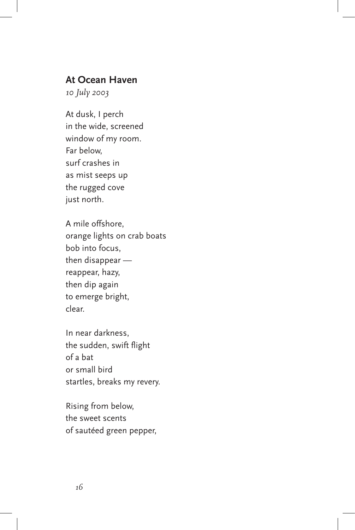### **At Ocean Haven**

*10 July 2003*

At dusk, I perch in the wide, screened window of my room. Far below, surf crashes in as mist seeps up the rugged cove just north.

A mile offshore, orange lights on crab boats bob into focus, then disappear reappear, hazy, then dip again to emerge bright, clear.

In near darkness, the sudden, swift flight of a bat or small bird startles, breaks my revery.

Rising from below, the sweet scents of sautéed green pepper,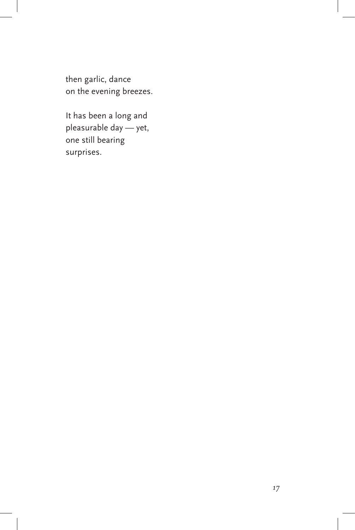then garlic, dance on the evening breezes.

It has been a long and pleasurable day — yet, one still bearing surprises.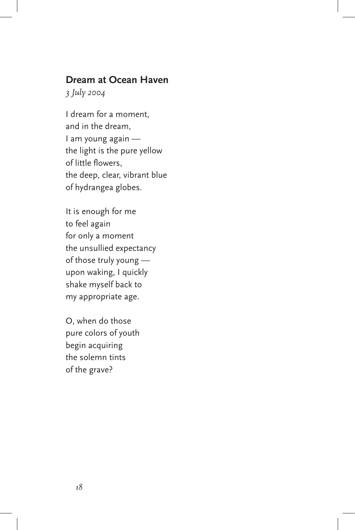### **Dream at Ocean Haven**

*3 July 2004*

I dream for a moment, and in the dream, I am young again the light is the pure yellow of little flowers, the deep, clear, vibrant blue of hydrangea globes.

It is enough for me to feel again for only a moment the unsullied expectancy of those truly young upon waking, I quickly shake myself back to my appropriate age.

O, when do those pure colors of youth begin acquiring the solemn tints of the grave?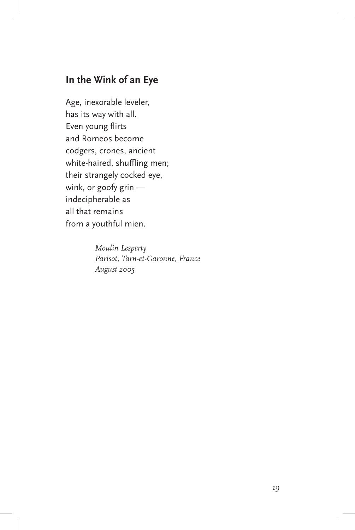# **In the Wink of an Eye**

Age, inexorable leveler, has its way with all. Even young flirts and Romeos become codgers, crones, ancient white-haired, shuffling men; their strangely cocked eye, wink, or goofy grin indecipherable as all that remains from a youthful mien.

> *Moulin Lesperty Parisot, Tarn-et-Garonne, France August 2005*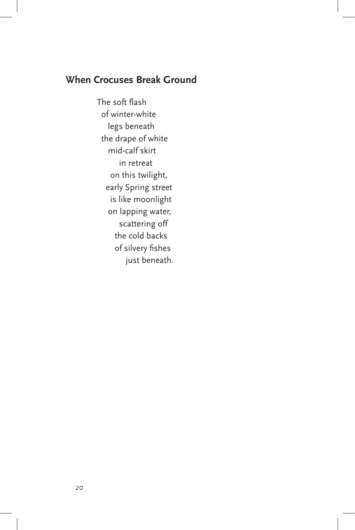### **When Crocuses Break Ground**

 The soft flash of winter-white legs beneath the drape of white mid-calf skirt in retreat on this twilight, early Spring street is like moonlight on lapping water, scattering off the cold backs of silvery fishes just beneath.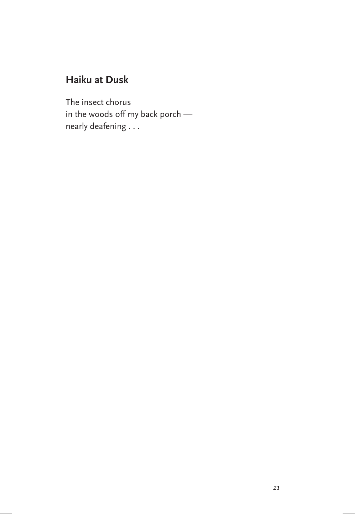# **Haiku at Dusk**

The insect chorus in the woods off my back porch nearly deafening . . .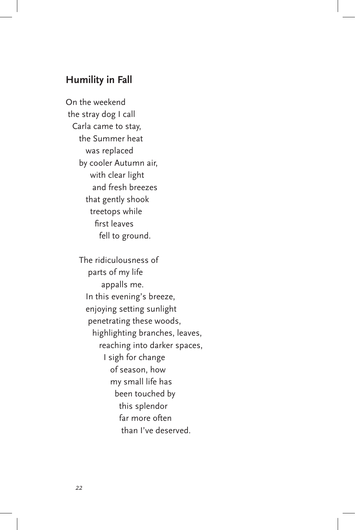### **Humility in Fall**

On the weekend the stray dog I call Carla came to stay, the Summer heat was replaced by cooler Autumn air, with clear light and fresh breezes that gently shook treetops while first leaves fell to ground.

> The ridiculousness of parts of my life appalls me. In this evening's breeze, enjoying setting sunlight penetrating these woods, highlighting branches, leaves, reaching into darker spaces, I sigh for change of season, how my small life has been touched by this splendor far more often than I've deserved.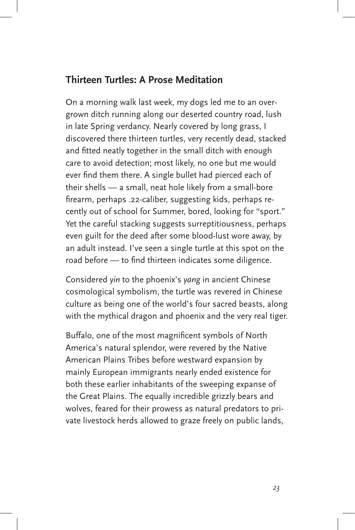### **Thirteen Turtles: A Prose Meditation**

On a morning walk last week, my dogs led me to an overgrown ditch running along our deserted country road, lush in late Spring verdancy. Nearly covered by long grass, I discovered there thirteen turtles, very recently dead, stacked and fitted neatly together in the small ditch with enough care to avoid detection; most likely, no one but me would ever find them there. A single bullet had pierced each of their shells — a small, neat hole likely from a small-bore firearm, perhaps .22-caliber, suggesting kids, perhaps recently out of school for Summer, bored, looking for "sport." Yet the careful stacking suggests surreptitiousness, perhaps even guilt for the deed after some blood-lust wore away, by an adult instead. I've seen a single turtle at this spot on the road before — to find thirteen indicates some diligence.

Considered *yin* to the phoenix's *yang* in ancient Chinese cosmological symbolism, the turtle was revered in Chinese culture as being one of the world's four sacred beasts, along with the mythical dragon and phoenix and the very real tiger.

Buffalo, one of the most magnificent symbols of North America's natural splendor, were revered by the Native American Plains Tribes before westward expansion by mainly European immigrants nearly ended existence for both these earlier inhabitants of the sweeping expanse of the Great Plains. The equally incredible grizzly bears and wolves, feared for their prowess as natural predators to private livestock herds allowed to graze freely on public lands,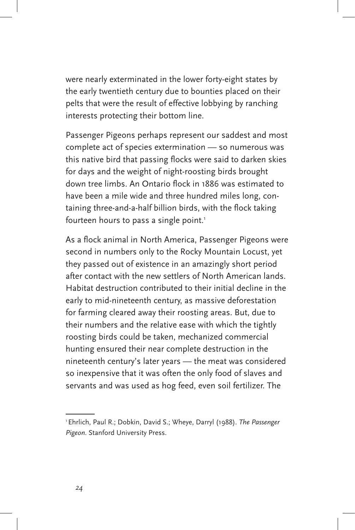were nearly exterminated in the lower forty-eight states by the early twentieth century due to bounties placed on their pelts that were the result of effective lobbying by ranching interests protecting their bottom line.

Passenger Pigeons perhaps represent our saddest and most complete act of species extermination — so numerous was this native bird that passing flocks were said to darken skies for days and the weight of night-roosting birds brought down tree limbs. An Ontario flock in 1886 was estimated to have been a mile wide and three hundred miles long, containing three-and-a-half billion birds, with the flock taking fourteen hours to pass a single point.<sup>1</sup>

As a flock animal in North America, Passenger Pigeons were second in numbers only to the Rocky Mountain Locust, yet they passed out of existence in an amazingly short period after contact with the new settlers of North American lands. Habitat destruction contributed to their initial decline in the early to mid-nineteenth century, as massive deforestation for farming cleared away their roosting areas. But, due to their numbers and the relative ease with which the tightly roosting birds could be taken, mechanized commercial hunting ensured their near complete destruction in the nineteenth century's later years — the meat was considered so inexpensive that it was often the only food of slaves and servants and was used as hog feed, even soil fertilizer. The

<sup>1</sup>Ehrlich, Paul R.; Dobkin, David S.; Wheye, Darryl (1988). *The Passenger Pigeon*. Stanford University Press.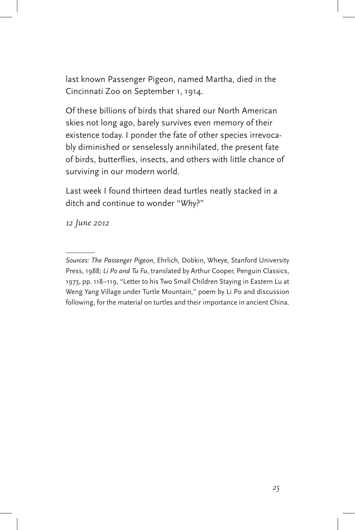last known Passenger Pigeon, named Martha, died in the Cincinnati Zoo on September 1, 1914.

Of these billions of birds that shared our North American skies not long ago, barely survives even memory of their existence today. I ponder the fate of other species irrevocably diminished or senselessly annihilated, the present fate of birds, butterflies, insects, and others with little chance of surviving in our modern world.

Last week I found thirteen dead turtles neatly stacked in a ditch and continue to wonder "*Why*?"

*12 June 2012*

*Sources: The Passenger Pigeon*, Ehrlich, Dobkin, Wheye, Stanford University Press, 1988; *Li Po and Tu Fu*, translated by Arthur Cooper, Penguin Classics, 1973, pp. 118–119, "Letter to his Two Small Children Staying in Eastern Lu at Weng Yang Village under Turtle Mountain," poem by Li Po and discussion following, for the material on turtles and their importance in ancient China.